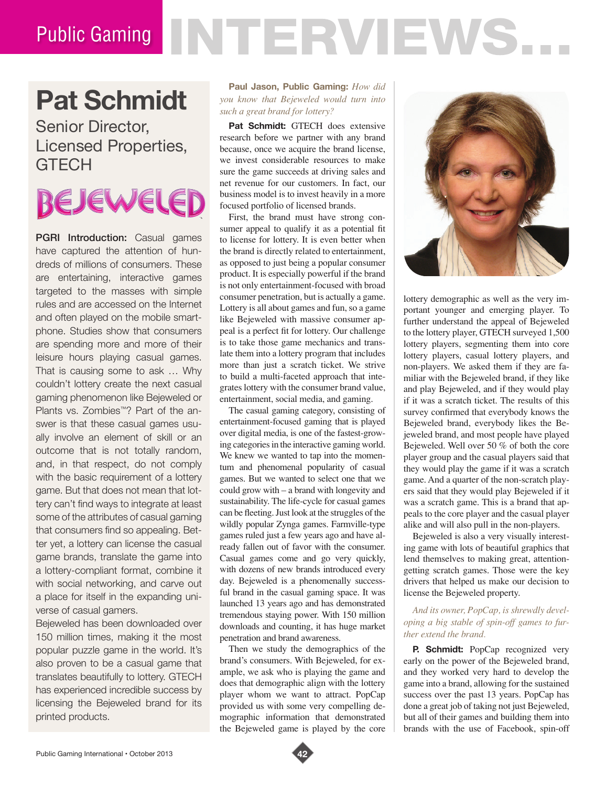# Public Gaming NTERVIEWS.

### **Pat Schmidt**

Senior Director, Licensed Properties, **GTECH** 

## EJEWELEI

**PGRI Introduction:** Casual games have captured the attention of hundreds of millions of consumers. These are entertaining, interactive games targeted to the masses with simple rules and are accessed on the Internet and often played on the mobile smartphone. Studies show that consumers are spending more and more of their leisure hours playing casual games. That is causing some to ask … Why couldn't lottery create the next casual gaming phenomenon like Bejeweled or Plants vs. Zombies™? Part of the answer is that these casual games usually involve an element of skill or an outcome that is not totally random, and, in that respect, do not comply with the basic requirement of a lottery game. But that does not mean that lottery can't find ways to integrate at least some of the attributes of casual gaming that consumers find so appealing. Better yet, a lottery can license the casual game brands, translate the game into a lottery-compliant format, combine it with social networking, and carve out a place for itself in the expanding universe of casual gamers.

Bejeweled has been downloaded over 150 million times, making it the most popular puzzle game in the world. It's also proven to be a casual game that translates beautifully to lottery. GTECH has experienced incredible success by licensing the Bejeweled brand for its printed products.

#### **Paul Jason, Public Gaming:** *How did you know that Bejeweled would turn into such a great brand for lottery?*

Pat Schmidt: GTECH does extensive research before we partner with any brand because, once we acquire the brand license, we invest considerable resources to make sure the game succeeds at driving sales and net revenue for our customers. In fact, our business model is to invest heavily in a more focused portfolio of licensed brands.

First, the brand must have strong consumer appeal to qualify it as a potential fit to license for lottery. It is even better when the brand is directly related to entertainment, as opposed to just being a popular consumer product. It is especially powerful if the brand is not only entertainment-focused with broad consumer penetration, but is actually a game. Lottery is all about games and fun, so a game like Bejeweled with massive consumer appeal is a perfect fit for lottery. Our challenge is to take those game mechanics and translate them into a lottery program that includes more than just a scratch ticket. We strive to build a multi-faceted approach that integrates lottery with the consumer brand value, entertainment, social media, and gaming.

The casual gaming category, consisting of entertainment-focused gaming that is played over digital media, is one of the fastest-growing categories in the interactive gaming world. We knew we wanted to tap into the momentum and phenomenal popularity of casual games. But we wanted to select one that we could grow with – a brand with longevity and sustainability. The life-cycle for casual games can be fleeting. Just look at the struggles of the wildly popular Zynga games. Farmville-type games ruled just a few years ago and have already fallen out of favor with the consumer. Casual games come and go very quickly, with dozens of new brands introduced every day. Bejeweled is a phenomenally successful brand in the casual gaming space. It was launched 13 years ago and has demonstrated tremendous staying power. With 150 million downloads and counting, it has huge market penetration and brand awareness.

Then we study the demographics of the brand's consumers. With Bejeweled, for example, we ask who is playing the game and does that demographic align with the lottery player whom we want to attract. PopCap provided us with some very compelling demographic information that demonstrated the Bejeweled game is played by the core



lottery demographic as well as the very important younger and emerging player. To further understand the appeal of Bejeweled to the lottery player, GTECH surveyed 1,500 lottery players, segmenting them into core lottery players, casual lottery players, and non-players. We asked them if they are familiar with the Bejeweled brand, if they like and play Bejeweled, and if they would play if it was a scratch ticket. The results of this survey confirmed that everybody knows the Bejeweled brand, everybody likes the Bejeweled brand, and most people have played Bejeweled. Well over 50 % of both the core player group and the casual players said that they would play the game if it was a scratch game. And a quarter of the non-scratch players said that they would play Bejeweled if it was a scratch game. This is a brand that appeals to the core player and the casual player alike and will also pull in the non-players.

Bejeweled is also a very visually interesting game with lots of beautiful graphics that lend themselves to making great, attentiongetting scratch games. Those were the key drivers that helped us make our decision to license the Bejeweled property.

#### *And its owner, PopCap, is shrewdly developing a big stable of spin-off games to further extend the brand.*

**P. Schmidt:** PopCap recognized very early on the power of the Bejeweled brand, and they worked very hard to develop the game into a brand, allowing for the sustained success over the past 13 years. PopCap has done a great job of taking not just Bejeweled, but all of their games and building them into brands with the use of Facebook, spin-off